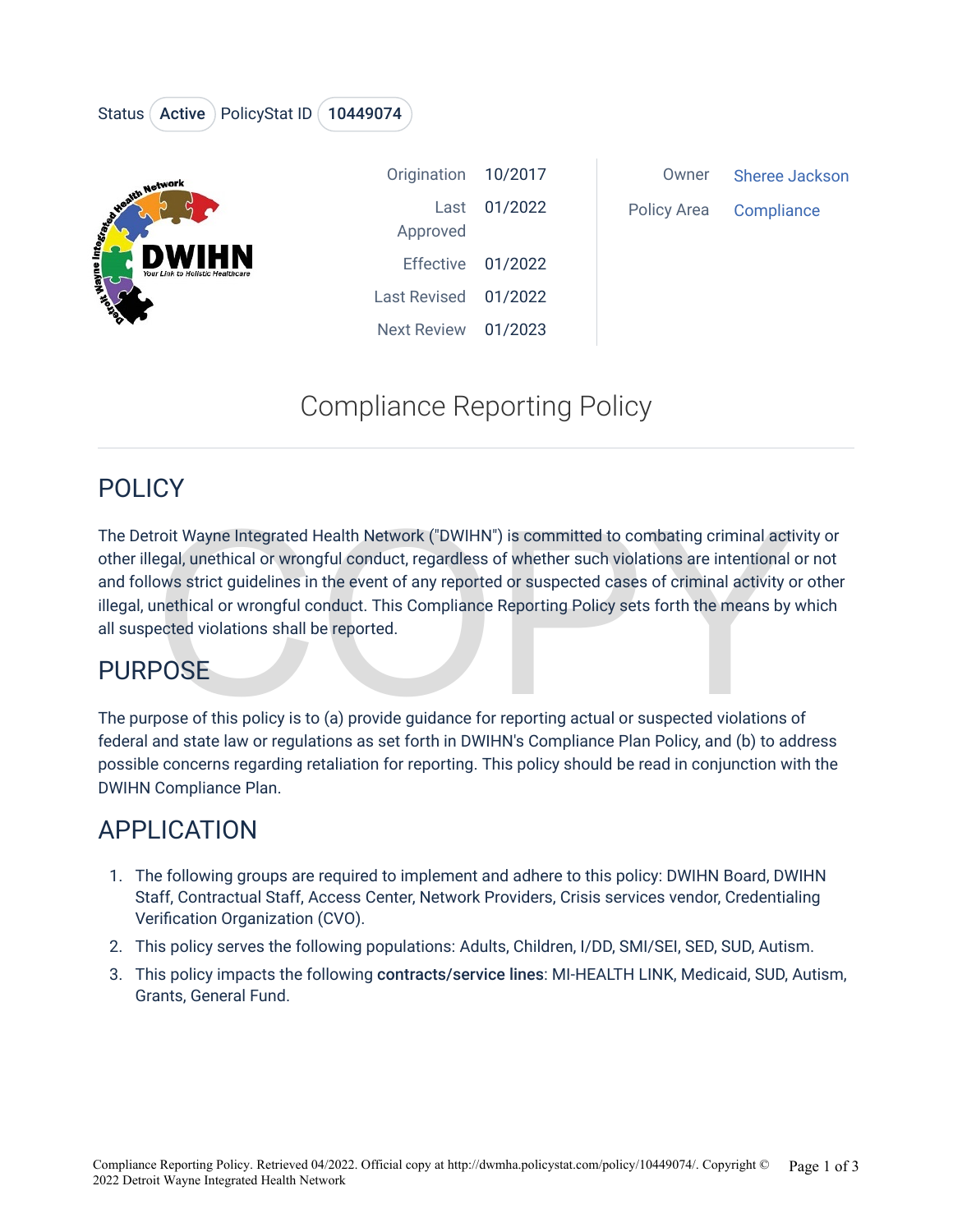#### Status (Active ) PolicyStat ID (10449074



| Origination 10/2017 |              |
|---------------------|--------------|
|                     | Last 01/2022 |
| Approved            |              |
| Effective 01/2022   |              |
| Last Revised        | 01/2022      |
| Next Review         | 01/2023      |

#### Owner [Sheree Jacks](https://dwmha.policystat.com/v2/search?author=6026700)on Policy Area Compliance

# Compliance Reporting Policy

#### POLICY

roit Wayne Integrated Health Network ("DWIHN") is committed to combating criminal active<br>tegal, unethical or wrongful conduct, regardless of whether such violations are intentional cows strict guidelines in the event of an The Detroit Wayne Integrated Health Network ("DWIHN") is committed to combating criminal activity or other illegal, unethical or wrongful conduct, regardless of whether such violations are intentional or not and follows strict guidelines in the event of any reported or suspected cases of criminal activity or other illegal, unethical or wrongful conduct. This Compliance Reporting Policy sets forth the means by which all suspected violations shall be reported.

## **PURPOSE**

The purpose of this policy is to (a) provide guidance for reporting actual or suspected violations of federal and state law or regulations as set forth in DWIHN's Compliance Plan Policy, and (b) to address possible concerns regarding retaliation for reporting. This policy should be read in conjunction with the DWIHN Compliance Plan.

# APPLICATION

- 1. The following groups are required to implement and adhere to this policy: DWIHN Board, DWIHN Staff, Contractual Staff, Access Center, Network Providers, Crisis services vendor, Credentialing Verification Organization (CVO).
- 2. This policy serves the following populations: Adults, Children, I/DD, SMI/SEI, SED, SUD, Autism.
- 3. This policy impacts the following contracts/service lines: MI-HEALTH LINK, Medicaid, SUD, Autism, Grants, General Fund.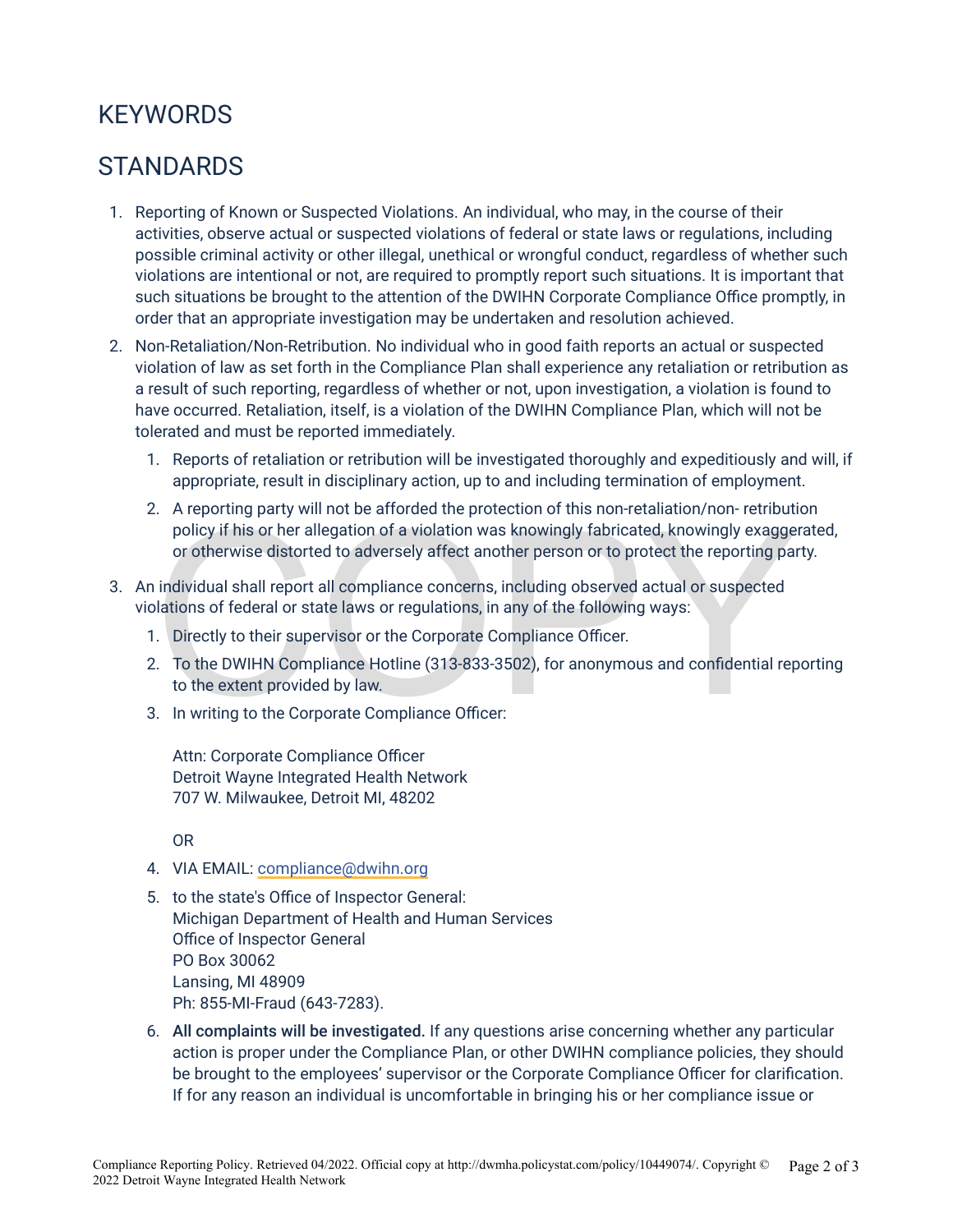## **KEYWORDS**

#### **STANDARDS**

- 1. Reporting of Known or Suspected Violations. An individual, who may, in the course of their activities, observe actual or suspected violations of federal or state laws or regulations, including possible criminal activity or other illegal, unethical or wrongful conduct, regardless of whether such violations are intentional or not, are required to promptly report such situations. It is important that such situations be brought to the attention of the DWIHN Corporate Compliance Office promptly, in order that an appropriate investigation may be undertaken and resolution achieved.
- 2. Non-Retaliation/Non-Retribution. No individual who in good faith reports an actual or suspected violation of law as set forth in the Compliance Plan shall experience any retaliation or retribution as a result of such reporting, regardless of whether or not, upon investigation, a violation is found to have occurred. Retaliation, itself, is a violation of the DWIHN Compliance Plan, which will not be tolerated and must be reported immediately.
	- 1. Reports of retaliation or retribution will be investigated thoroughly and expeditiously and will, if appropriate, result in disciplinary action, up to and including termination of employment.
	- Example the procedure of a violation was knowingly fabricated, knowingly exagge<br>policy if his or her allegation of a violation was knowingly fabricated, knowingly exagge<br>or otherwise distorted to adversely affect another p 2. A reporting party will not be afforded the protection of this non-retaliation/non- retribution policy if his or her allegation of a violation was knowingly fabricated, knowingly exaggerated, or otherwise distorted to adversely affect another person or to protect the reporting party.
- 3. An individual shall report all compliance concerns, including observed actual or suspected violations of federal or state laws or regulations, in any of the following ways:
	- 1. Directly to their supervisor or the Corporate Compliance Officer.
	- 2. To the DWIHN Compliance Hotline (313-833-3502), for anonymous and confidential reporting to the extent provided by law.
	- 3. In writing to the Corporate Compliance Officer:

Attn: Corporate Compliance Officer Detroit Wayne Integrated Health Network 707 W. Milwaukee, Detroit MI, 48202

OR

- 4. VIA EMAIL: [compliance@dwihn.org](mailto:compliance@dwihn.org)
- 5. to the state's Office of Inspector General: Michigan Department of Health and Human Services Office of Inspector General PO Box 30062 Lansing, MI 48909 Ph: 855-MI-Fraud (643-7283).
- 6. All complaints will be investigated. If any questions arise concerning whether any particular action is proper under the Compliance Plan, or other DWIHN compliance policies, they should be brought to the employees' supervisor or the Corporate Compliance Officer for clarification. If for any reason an individual is uncomfortable in bringing his or her compliance issue or